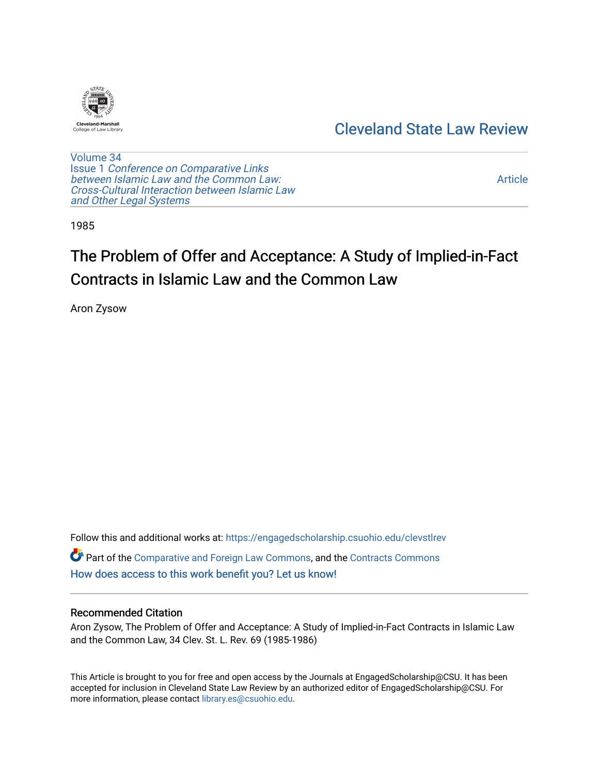

# [Cleveland State Law Review](https://engagedscholarship.csuohio.edu/clevstlrev)

[Volume 34](https://engagedscholarship.csuohio.edu/clevstlrev/vol34) Issue 1 [Conference on Comparative Links](https://engagedscholarship.csuohio.edu/clevstlrev/vol34/iss1) [between Islamic Law and the Common Law:](https://engagedscholarship.csuohio.edu/clevstlrev/vol34/iss1) [Cross-Cultural Interaction between Islamic Law](https://engagedscholarship.csuohio.edu/clevstlrev/vol34/iss1)  [and Other Legal Systems](https://engagedscholarship.csuohio.edu/clevstlrev/vol34/iss1) 

[Article](https://engagedscholarship.csuohio.edu/clevstlrev/vol34/iss1/8) 

1985

# The Problem of Offer and Acceptance: A Study of Implied-in-Fact Contracts in Islamic Law and the Common Law

Aron Zysow

Follow this and additional works at: [https://engagedscholarship.csuohio.edu/clevstlrev](https://engagedscholarship.csuohio.edu/clevstlrev?utm_source=engagedscholarship.csuohio.edu%2Fclevstlrev%2Fvol34%2Fiss1%2F8&utm_medium=PDF&utm_campaign=PDFCoverPages)

Part of the [Comparative and Foreign Law Commons,](http://network.bepress.com/hgg/discipline/836?utm_source=engagedscholarship.csuohio.edu%2Fclevstlrev%2Fvol34%2Fiss1%2F8&utm_medium=PDF&utm_campaign=PDFCoverPages) and the [Contracts Commons](http://network.bepress.com/hgg/discipline/591?utm_source=engagedscholarship.csuohio.edu%2Fclevstlrev%2Fvol34%2Fiss1%2F8&utm_medium=PDF&utm_campaign=PDFCoverPages)  [How does access to this work benefit you? Let us know!](http://library.csuohio.edu/engaged/)

### Recommended Citation

Aron Zysow, The Problem of Offer and Acceptance: A Study of Implied-in-Fact Contracts in Islamic Law and the Common Law, 34 Clev. St. L. Rev. 69 (1985-1986)

This Article is brought to you for free and open access by the Journals at EngagedScholarship@CSU. It has been accepted for inclusion in Cleveland State Law Review by an authorized editor of EngagedScholarship@CSU. For more information, please contact [library.es@csuohio.edu](mailto:library.es@csuohio.edu).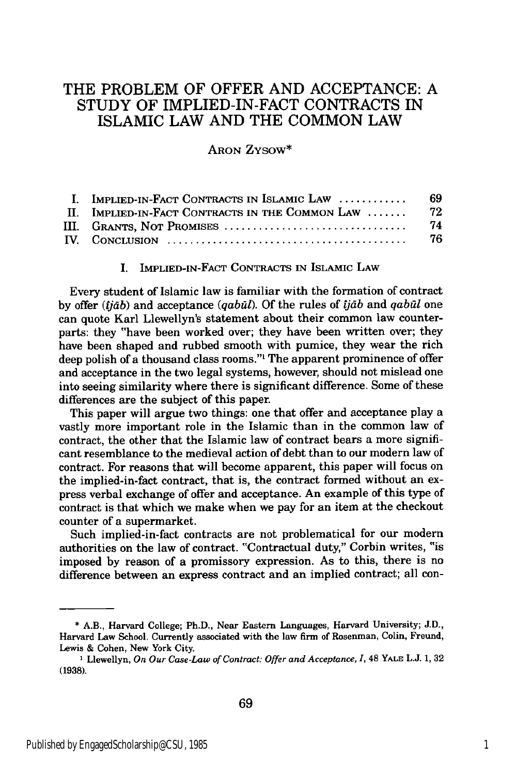## THE PROBLEM OF OFFER AND ACCEPTANCE: A STUDY OF IMPLIED-IN-FACT CONTRACTS IN ISLAMIC LAW AND THE COMMON LAW

ARON ZYsow\*

| I. IMPLIED-IN-FACT CONTRACTS IN ISLAMIC LAW     | -69  |
|-------------------------------------------------|------|
| II. IMPLIED-IN-FACT CONTRACTS IN THE COMMON LAW | - 72 |
| III. Grants, Not Promises                       | 74   |
|                                                 | 76   |

#### I. IMPLIED-IN-FACT **CONTRACTS IN** ISLAMIC LAW

Every student of Islamic law is familiar with the formation of contract **by** offer *(jdb)* and acceptance *(qabUd).* **Of** the rules of *jdb* and *qabl* one can quote Karl Llewellyn's statement about their common law counterparts: they "have been worked over; they have been written over; they have been shaped and rubbed smooth with pumice, they wear the rich deep polish of a thousand class rooms."' The apparent prominence of offer and acceptance in the two legal systems, however, should not mislead one into seeing similarity where there is significant difference. Some of these differences are the subject of this paper.

This paper will argue two things: one that offer and acceptance play a vastly more important role in the Islamic than in the common law of contract, the other that the Islamic law of contract bears a more significant resemblance to the medieval action of debt than to our modern law of contract. For reasons that will become apparent, this paper will focus on the implied-in-fact contract, that is, the contract formed without an express verbal exchange of offer and acceptance. An example of this type of contract is that which we make when we pay for an item at the checkout counter of a supermarket.

Such implied-in-fact contracts are not problematical for our modern authorities on the law of contract. "Contractual duty," Corbin writes, "is imposed **by** reason of a promissory expression. As to this, there is no difference between an express contract and an implied contract; all con-

**<sup>\*</sup>** A.B., Harvard College; Ph.D., Near Eastern Languages, Harvard University; **J.D.,** Harvard Law School. Currently associated with the law firm of Rosenman, Colin, Freund, Lewis **&** Cohen, New York City.

**I** Llewellyn, *On Our Case-Law of Contract: Offer and Acceptance, 1,* 48 YALE **L.J. 1, 32 (1938).**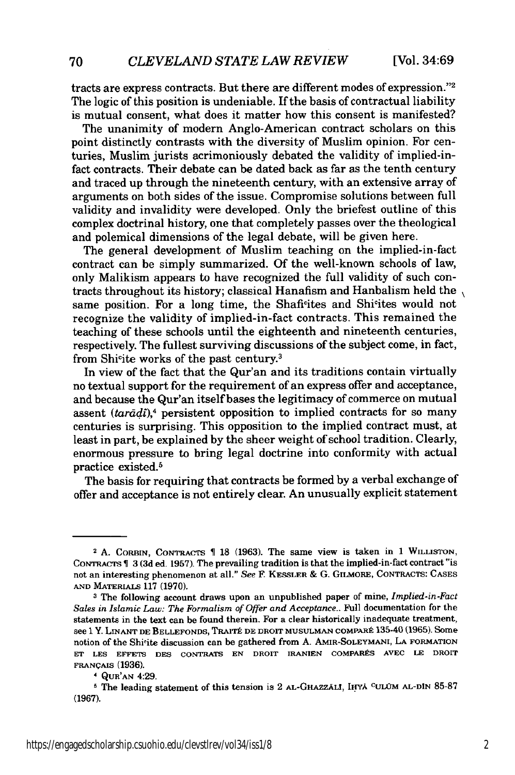tracts are express contracts. But there are different modes of expression."<sup>2</sup> The logic of this position is undeniable. If the basis of contractual liability is mutual consent, what does it matter how this consent is manifested?

The unanimity of modern Anglo-American contract scholars on this point distinctly contrasts with the diversity of Muslim opinion. For centuries, Muslim jurists acrimoniously debated the validity of implied-infact contracts. Their debate can be dated back as far as the tenth century and traced up through the nineteenth century, with an extensive array of arguments on both sides of the issue. Compromise solutions between full validity and invalidity were developed. Only the briefest outline of this complex doctrinal history, one that completely passes over the theological and polemical dimensions of the legal debate, will be given here.

The general development of Muslim teaching on the implied-in-fact contract can be simply summarized. Of the well-known schools of law, only Malikism appears to have recognized the full validity of such contracts throughout its history; classical Hanafism and Hanbalism held the same position. For a long time, the Shafi<sup>c</sup>ites and Shi<sup>c</sup>ites would not recognize the validity of implied-in-fact contracts. This remained the teaching of these schools until the eighteenth and nineteenth centuries, respectively. The fullest surviving discussions of the subject come, in fact, from Shi<sup>c</sup>ite works of the past century.<sup>3</sup>

In view of the fact that the Qur'an and its traditions contain virtually no textual support for the requirement of an express offer and acceptance, and because the Qur'an itself bases the legitimacy of commerce on mutual assent *(tarddt),4* persistent opposition to implied contracts for so many centuries is surprising. This opposition to the implied contract must, at least in part, be explained by the sheer weight of school tradition. Clearly, enormous pressure to bring legal doctrine into conformity with actual practice existed.<sup>5</sup>

The basis for requiring that contracts be formed by a verbal exchange of offer and acceptance is not entirely clear. An unusually explicit statement

<sup>&</sup>lt;sup>2</sup> A. CORBIN, CONTRACTS 18 (1963). The same view is taken in 1 WILLISTON, **CONTRACTS 3 (3d** ed. **1957).** The prevailing tradition is that the implied-in-fact contract "is not an interesting phenomenon at all." *See* **F KESSLER & G.** GILMORE, CONTRACTS: **CASES AND MATERIALS 117 (1970).**

**<sup>3</sup>** The following account draws upon an unpublished paper of mine, *Implied-in-Fact Sales in Islamic Law: The Formalism of Offer and Acceptance..* Full documentation for the statements in the text can be found therein. For a clear historically inadequate treatment, see **1** Y. LNATr **DE BELLEFONDS,** TRAITP **DE** DROIT **MUSULMAN** COMPARt 135-40 **(1965).** Some notion of the Shi'ite discussion can be gathered from **A. AMIR-SOLEYMANI, LA FORMATION ET LES EFFETS DES CONTRATS EN DROIT IRANIEN** COMPARgS **AVEC LE** DROIT **FRANQALS** (1936).

**<sup>&#</sup>x27; QUR'AN** 4:29.

**<sup>5</sup>** The leading statement **of** this tension is 2 AL-GHAZZALi, I14YA **CULOM AL-DIN 85-87 (1967).**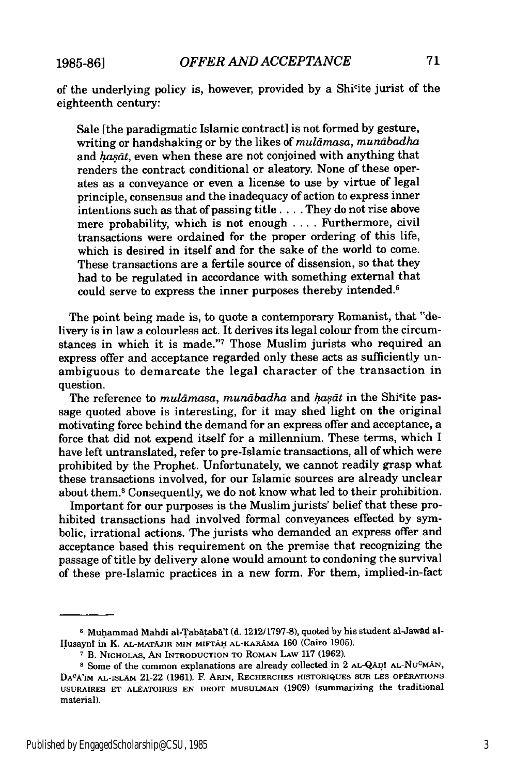**1985-861**

of the underlying policy is, however, provided **by** a Shicite jurist of the eighteenth century:

Sale [the paradigmatic Islamic contract] is not formed by gesture, writing or handshaking or by the likes of *muldmasa, mundbadha* and  $has\bar{a}t$ , even when these are not conjoined with anything that renders the contract conditional or aleatory. None of these operates as a conveyance or even a license to use by virtue of legal principle, consensus and the inadequacy of action to express inner intentions such as that of passing title **....** They do not rise above mere probability, which is not enough .... Furthermore, civil transactions were ordained for the proper ordering of this life, which is desired in itself and for the sake of the world to come. These transactions are a fertile source of dissension, so that they had to be regulated in accordance with something external that could serve to express the inner purposes thereby intended.<sup>6</sup>

The point being made is, to quote a contemporary Romanist, that "delivery is in law a colourless act. It derives its legal colour from the circumstances in which it is made."7 Those Muslim jurists who required an express offer and acceptance regarded only these acts as sufficiently unambiguous to demarcate the legal character of the transaction in question.

The reference to *muldmasa, mundbadha* and *hasct* in the Shicite passage quoted above is interesting, for it may shed light on the original motivating force behind the demand for an express offer and acceptance, a force that did not expend itself for a millennium. These terms, which I have left untranslated, refer to pre-Islamic transactions, all of which were prohibited by the Prophet. Unfortunately, we cannot readily grasp what these transactions involved, for our Islamic sources are already unclear about them.8 Consequently, we do not know what led to their prohibition.

Important for our purposes is the Muslim jurists' belief that these prohibited transactions had involved formal conveyances effected by symbolic, irrational actions. The jurists who demanded an express offer and acceptance based this requirement on the premise that recognizing the passage of title by delivery alone would amount to condoning the survival of these pre-Islamic practices in a new form. For them, implied-in-fact

<sup>&</sup>lt;sup>6</sup> Muhammad Mahdi al-Tabātabā'i (d. 1212/1797-8), quoted by his student al-Jawād al-Husayni in K. **AL-MATAJIR MIN MIFrAi** AL-KARAMA **160** (Cairo **1905).**

**<sup>7</sup>** B. **NICHOLAS,** AN INTRODUCTION TO ROMAN LAW 117 **(1962).**

<sup>&</sup>lt;sup>8</sup> Some of the common explanations are already collected in 2 AL-QAD! AL-NU<sup>C</sup>MAN, DA<sup>c</sup>a'im al-Islām 21-22 (1961). F. Arin, Recherches historiques sur les opérations **USURAIRES ET** ALEATOIRES **EN** DROIT **MUSULMAN** (1909) (summarizing the traditional material).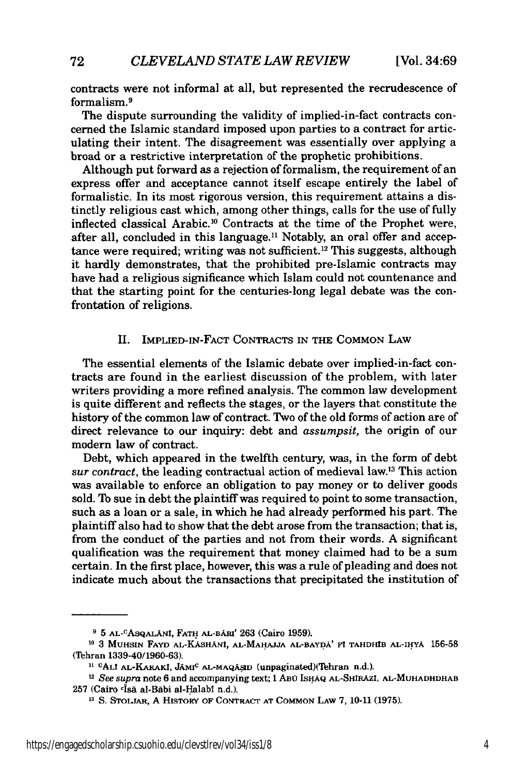contracts were not informal at all, but represented the recrudescence of formalism.9

The dispute surrounding the validity of implied-in-fact contracts concerned the Islamic standard imposed upon parties to a contract for articulating their intent. The disagreement was essentially over applying a broad or a restrictive interpretation of the prophetic prohibitions.

Although put forward as a rejection of formalism, the requirement of an express offer and acceptance cannot itself escape entirely the label of formalistic. In its most rigorous version, this requirement attains a distinctly religious cast which, among other things, calls for the use of fully inflected classical Arabic. 10 Contracts at the time of the Prophet were, after all, concluded in this language.<sup>11</sup> Notably, an oral offer and acceptance were required; writing was not sufficient.<sup>12</sup> This suggests, although it hardly demonstrates, that the prohibited pre-Islamic contracts may have had a religious significance which Islam could not countenance and that the starting point for the centuries-long legal debate was the confrontation of religions.

#### II. IMPLIED-IN-FACT CONTRACTS **IN** THE COMMON LAW

The essential elements of the Islamic debate over implied-in-fact contracts are found in the earliest discussion of the problem, with later writers providing a more refined analysis. The common law development is quite different and reflects the stages, or the layers that constitute the history of the common law of contract. Two of the old forms of action are of direct relevance to our inquiry: debt and *assumpsit,* the origin of our modern law of contract.

Debt, which appeared in the twelfth century, was, in the form of debt *sur contract,* the leading contractual action of medieval law.13 This action was available to enforce an obligation to pay money or to deliver goods sold. To sue in debt the plaintiff was required to point to some transaction, such as a loan or a sale, in which he had already performed his part. The plaintiff also had to show that the debt arose from the transaction; that is, from the conduct of the parties and not from their words. A significant qualification was the requirement that money claimed had to be a sum certain. In the first place, however, this was a rule of pleading and does not indicate much about the transactions that precipitated the institution of

**<sup>9 5</sup> AL-CASQALANi, FATH AL-BARI' 263 (Cairo 1959).**

**<sup>10 3</sup> MUHSIN FAYD AL-KASHANI, AL-MAHAJJA AL-BAYDA' Ft TAHDHIB AL-IHYA 156-58** (Tehran 1339-40/1960-63).

<sup>&</sup>lt;sup>11 C</sup>ALI AL-KARAKI, JAMI<sup>C</sup> AL-MAQASID (unpaginated)(Tehran n.d.).

**<sup>12</sup>***See supra* **note 6** and **accompanying text;** 1 ABO **IsHAQ AL-SHIRAZI, AL-MUHADHDHAB <sup>257</sup>**(Cairo c4sa al-Babi al-Halabi n.d.). **13 S. STOIJAR, A HIsTORY OF CONTRACT AT COMMON LAW 7, 10-11 (1975).**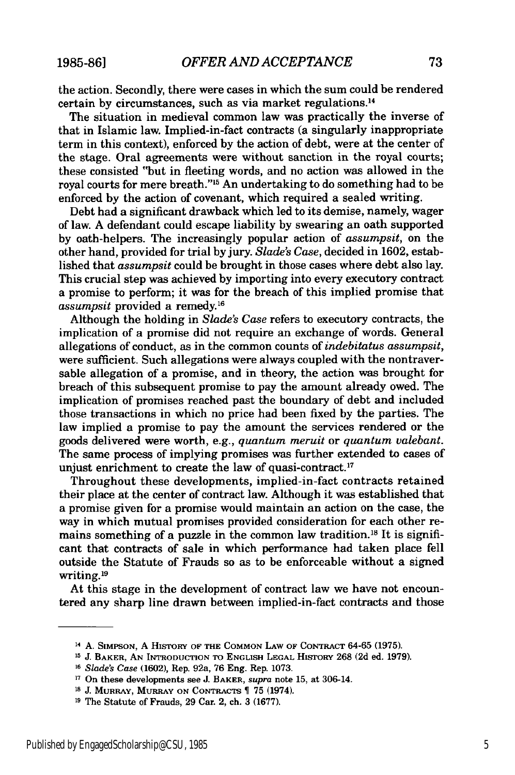the action. Secondly, there were cases in which the sum could be rendered certain by circumstances, such as via market regulations.<sup>14</sup>

The situation in medieval common law was practically the inverse of that in Islamic law. Implied-in-fact contracts (a singularly inappropriate term in this context), enforced by the action of debt, were at the center of the stage. Oral agreements were without sanction in the royal courts; these consisted "but in fleeting words, and no action was allowed in the royal courts for mere breath."<sup>15</sup> An undertaking to do something had to be enforced by the action of covenant, which required a sealed writing.

Debt had a significant drawback which led to its demise, namely, wager of law. A defendant could escape liability by swearing an oath supported by oath-helpers. The increasingly popular action of *assumpsit,* on the other hand, provided for trial by jury. *Slade's Case,* decided in 1602, established that *assumpsit* could be brought in those cases where debt also lay. This crucial step was achieved by importing into every executory contract a promise to perform; it was for the breach of this implied promise that *assumpsit* provided a remedy.<sup>16</sup>

Although the holding in *Slade's Case* refers to executory contracts, the implication of a promise did not require an exchange of words. General allegations of conduct, as in the common counts of *indebitatus assumpsit,* were sufficient. Such allegations were always coupled with the nontraversable allegation of a promise, and in theory, the action was brought for breach of this subsequent promise to pay the amount already owed. The implication of promises reached past the boundary of debt and included those transactions in which no price had been fixed **by** the parties. The law implied a promise to pay the amount the services rendered or the goods delivered were worth, e.g., *quantum meruit* or *quantum valebant.* The same process of implying promises was further extended to cases of unjust enrichment to create the law of quasi-contract.<sup>17</sup>

Throughout these developments, implied-in-fact contracts retained their place at the center of contract law. Although it was established that a promise given for a promise would maintain an action on the case, the way in which mutual promises provided consideration for each other remains something of a puzzle in the common law tradition.<sup>18</sup> It is significant that contracts of sale in which performance had taken place fell outside the Statute of Frauds so as to be enforceable without a signed writing.19

At this stage in the development of contract law we have not encountered any sharp line drawn between implied-in-fact contracts and those

**<sup>14</sup>**A. SIMPSON, A HisroRy **OF THE COMMON** LAW **OF** CONTRAcT **64-65 (1975).**

**<sup>15</sup> J. BAKER, AN INTRODUCTION TO ENGLISH LEGAL** HisTORY **268 (2d** ed. **1979).**

**<sup>16</sup>** *Slade's Case* **(1602),** Rep. 92a, **76** Eng. Rep. **1073.**

**<sup>17</sup>**On these developments see **J.** BAKER, *supra* note **15,** at 306-14.

**<sup>&#</sup>x27;8 J.** MURRAY, MURRAY **ON** CoNTRAcTs **75** (1974).

**<sup>19</sup>** The Statute of Frauds, **29** Car. 2, ch. **3 (1677).**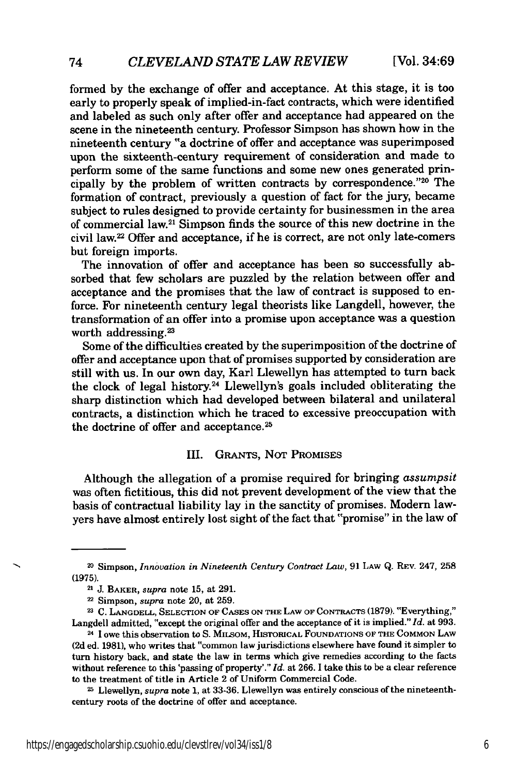formed by the exchange of offer and acceptance. At this stage, it is too early to properly speak of implied-in-fact contracts, which were identified and labeled as such only after offer and acceptance had appeared on the scene in the nineteenth century. Professor Simpson has shown how in the nineteenth century "a doctrine of offer and acceptance was superimposed upon the sixteenth-century requirement of consideration and made to perform some of the same functions and some new ones generated principally by the problem of written contracts by correspondence. $"^{20}$  The formation of contract, previously a question of fact for the jury, became subject to rules designed to provide certainty for businessmen in the area of commercial law.21 Simpson finds the source of this new doctrine in the civil law.22 Offer and acceptance, if he is correct, are not only late-comers but foreign imports.

The innovation of offer and acceptance has been so successfully absorbed that few scholars are puzzled by the relation between offer and acceptance and the promises that the law of contract is supposed to enforce. For nineteenth century legal theorists like Langdell, however, the transformation of an offer into a promise upon acceptance was a question worth addressing.<sup>23</sup>

Some of the difficulties created by the superimposition of the doctrine of offer and acceptance upon that of promises supported by consideration are still with us. In our own day, Karl Llewellyn has attempted to turn back the clock of legal history.24 Llewellyn's goals included obliterating the sharp distinction which had developed between bilateral and unilateral contracts, a distinction which he traced to excessive preoccupation with the doctrine of offer and acceptance.<sup>25</sup>

#### III. GRANTS, NOT PROMISES

Although the allegation of a promise required for bringing *assumpsit* was often fictitious, this did not prevent development of the view that the basis of contractual liability lay in the sanctity of promises. Modern lawyers have almost entirely lost sight of the fact that "promise" in the law of

**21 C. LANGDELL,** SELECTION **OF CASES ON THE** LAW **OF CONTRACTS (1879).** "Everything," Langdell admitted, "except the original offer and the acceptance of it is implied." *Id.* at **993.**

24I owe this observation to S. MILSOM, HISTORICAL **FOUNDATIONS** OF **THE COMMON** LAW (2d ed. 1981), who writes that "common law jurisdictions elsewhere have found it simpler to turn history back, and state the law in terms which give remedies according to the facts without reference to this 'passing of property'." *Id.* at 266. I take this to be a clear reference to the treatment of title in Article 2 of Uniform Commercial Code.

**25** Llewellyn, *supra* note 1, at 33-36. Llewellyn was entirely conscious of the nineteenthcentury roots of the doctrine of offer and acceptance.

<sup>20</sup> Simpson, *Innovation in Nineteenth Century Contract Law,* 91 LAw Q. REV. 247, **258** (1975).

<sup>21</sup>**J.** BAKER, *supra* note 15, at 291.

<sup>2</sup> Simpson, *supra* note 20, at 259.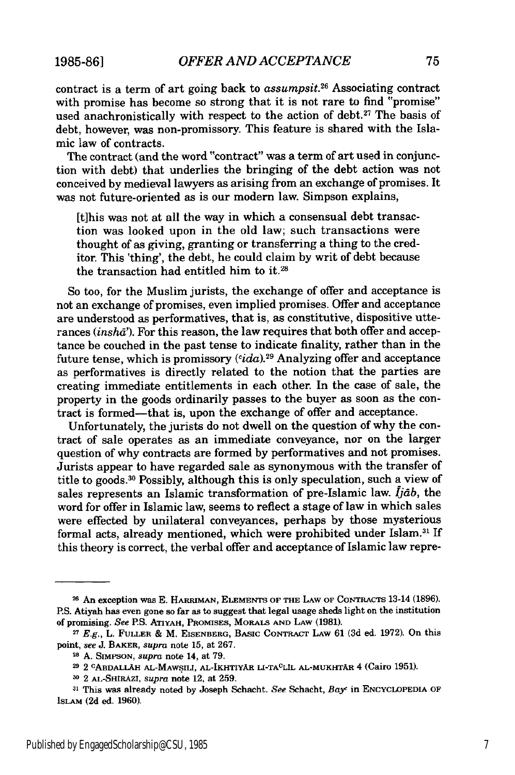contract is a term of art going back to *assumpsit.26* Associating contract with promise has become so strong that it is not rare to find "promise" used anachronistically with respect to the action of debt.<sup>27</sup> The basis of debt, however, was non-promissory. This feature is shared with the Islamic law of contracts.

The contract (and the word "contract" was a term of art used in conjunction with debt) that underlies the bringing of the debt action was not conceived by medieval lawyers as arising from an exchange of promises. It was not future-oriented as is our modern law. Simpson explains,

[t]his was not at all the way in which a consensual debt transaction was looked upon in the old law; such transactions were thought of as giving, granting or transferring a thing to the creditor. This 'thing', the debt, he could claim by writ of debt because the transaction had entitled him to it.<sup>28</sup>

So too, for the Muslim jurists, the exchange of offer and acceptance is not an exchange of promises, even implied promises. Offer and acceptance are understood as performatives, that is, as constitutive, dispositive utterances *(inshd').* For this reason, the law requires that both offer and acceptance be couched in the past tense to indicate finality, rather than in the future tense, which is promissory *(cida).2 9* Analyzing offer and acceptance as performatives is directly related to the notion that the parties are creating immediate entitlements in each other. In the case of sale, the property in the goods ordinarily passes to the buyer as soon as the contract is formed-that is, upon the exchange of offer and acceptance.

Unfortunately, the jurists do not dwell on the question of why the contract of sale operates as an immediate conveyance, nor on the larger question of why contracts are formed by performatives and not promises. Jurists appear to have regarded sale as synonymous with the transfer of title to goods. 30 Possibly, although this is only speculation, such a view of sales represents an Islamic transformation of pre-Islamic law.  $I<sub>j</sub>ab$ , the word for offer in Islamic law, seems to reflect a stage of law in which sales were effected by unilateral conveyances, perhaps by those mysterious formal acts, already mentioned, which were prohibited under Islam.<sup>31</sup> If this theory is correct, the verbal offer and acceptance of Islamic law repre-

**<sup>26</sup>** An exception was **E.** HARRIMAN, **ELEMENTS** OF **THE** LAW **OF** CONTRACTS 13-14 **(1896).** P.S. Atiyah has even gone so far as to suggest that legal usage sheds light on the institution of promising. *See* P.S. **ATIYAH,** PROMISES, MORALS **AND LAW** (1981).

**<sup>27</sup>***E.g.,* L. FULLER & M. **EISENBERG, BASIC CONTRACT** LAW 61 **(3d** ed. 1972). On this point, *see* J. **BAKER,** *supra* note 15, at 267.

**<sup>28</sup> A. SIMPSON,** *supra* note 14, at 79.

**<sup>29</sup>** 2 **CABDALLAH AL-MAWSILI, AL-IKHTIYAR LI-TACLIL** AL-MUKHTAR 4 (Cairo **1951).**

**<sup>30</sup>**2 AL-SHtRAZI, *supra* note 12, at **259.**

**<sup>31</sup>** This was already noted by Joseph Schacht. *See* Schacht, *Bay'* **in** ENCYCLOPEDIA OF ISLAM **(2d ed. 1960).**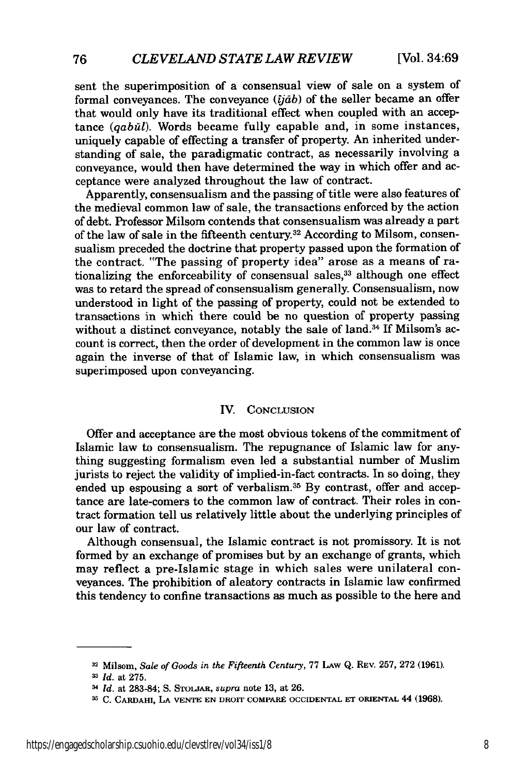sent the superimposition of a consensual view of sale on a system of formal conveyances. The conveyance *(jdb)* of the seller became an offer that would only have its traditional effect when coupled with an acceptance (*qabūl*). Words became fully capable and, in some instances, uniquely capable of effecting a transfer of property. An inherited understanding of sale, the paradigmatic contract, as necessarily involving a conveyance, would then have determined the way in which offer and acceptance were analyzed throughout the law of contract.

Apparently, consensualism and the passing of title were also features of the medieval common law of sale, the transactions enforced by the action of debt. Professor Milsom contends that consensualism was already a part of the law of sale in the fifteenth century.<sup>32</sup> According to Milsom, consensualism preceded the doctrine that property passed upon the formation of the contract. "The passing of property idea" arose as a means of rationalizing the enforceability of consensual sales,<sup>33</sup> although one effect was to retard the spread of consensualism generally. Consensualism, now understood in light of the passing of property, could not be extended to transactions in which there could be no question of property passing without a distinct conveyance, notably the sale of land.<sup>34</sup> If Milsom's account is correct, then the order of development in the common law is once again the inverse of that of Islamic law, in which consensualism was superimposed upon conveyancing.

#### IV. CONCLUSION

Offer and acceptance are the most obvious tokens of the commitment of Islamic law to consensualism. The repugnance of Islamic law for anything suggesting formalism even led a substantial number of Muslim jurists to reject the validity of implied-in-fact contracts. In so doing, they ended up espousing a sort of verbalism.<sup>35</sup> By contrast, offer and acceptance are late-comers to the common law of contract. Their roles in contract formation tell us relatively little about the underlying principles of our law of contract.

Although consensual, the Islamic contract is not promissory. It is not formed by an exchange of promises but by an exchange of grants, which may reflect a pre-Islamic stage in which sales were unilateral conveyances. The prohibition of aleatory contracts in Islamic law confirmed this tendency to confine transactions as much as possible to the here and

**<sup>32</sup>**Milsom, *Sale of Goods in the Fifteenth Century,* 77 **LAW** Q. REV. 257, 272 (1961).

**<sup>3</sup>***Id.* at 275.

<sup>3</sup>*Id.* at 283-84; S. **STOLJAR,** *supra* note **13,** at **26.**

**<sup>3</sup> C.** CARDAHI, **LA VENTE EN** DROIT COMPARE **OCCIDENTAL ET** ORIENTAL 44 (1968).